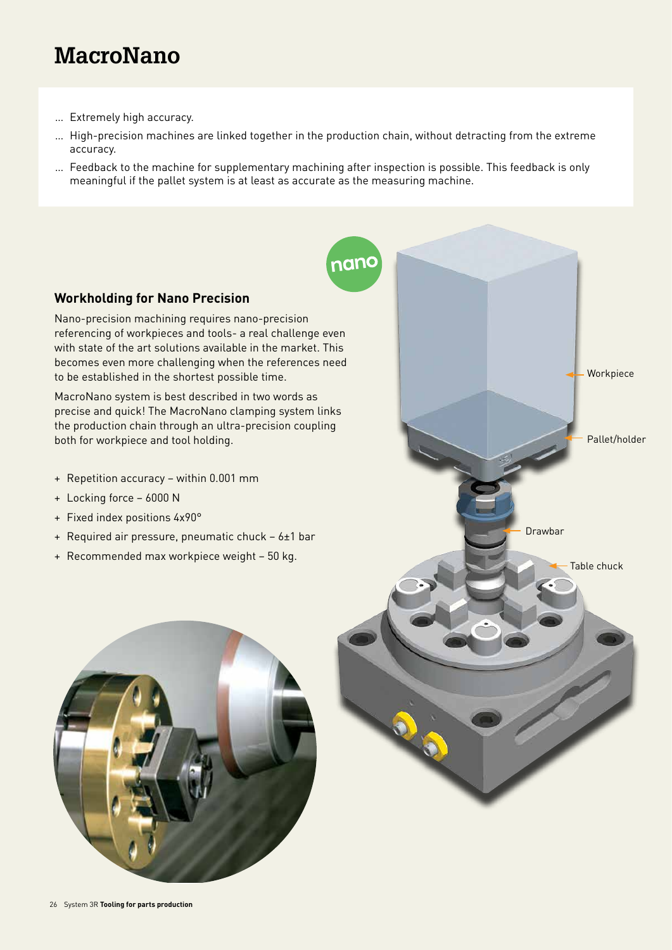# **MacroNano**

- … Extremely high accuracy.
- … High-precision machines are linked together in the production chain, without detracting from the extreme accuracy.
- … Feedback to the machine for supplementary machining after inspection is possible. This feedback is only meaningful if the pallet system is at least as accurate as the measuring machine.

nanc

Drawbar

Pallet/holder

Table chuck

Workpiece

### **Workholding for Nano Precision**

Nano-precision machining requires nano-precision referencing of workpieces and tools- a real challenge even with state of the art solutions available in the market. This becomes even more challenging when the references need to be established in the shortest possible time.

MacroNano system is best described in two words as precise and quick! The MacroNano clamping system links the production chain through an ultra-precision coupling both for workpiece and tool holding.

- + Repetition accuracy within 0.001 mm
- + Locking force 6000 N
- + Fixed index positions 4x90°
- + Required air pressure, pneumatic chuck 6±1 bar
- + Recommended max workpiece weight 50 kg.

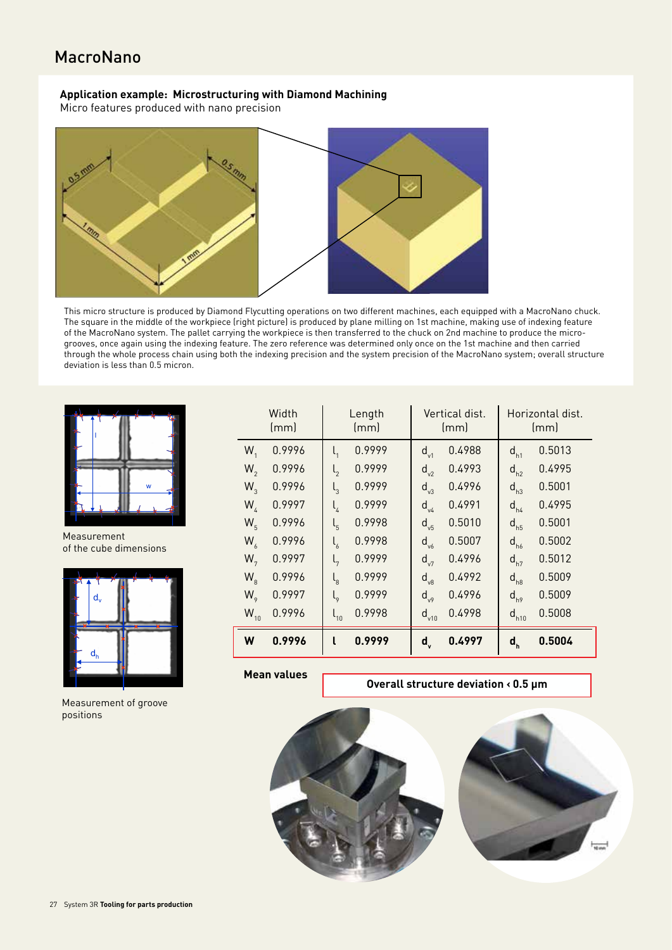### MacroNano

#### **Application example: Microstructuring with Diamond Machining**

Micro features produced with nano precision



This micro structure is produced by Diamond Flycutting operations on two different machines, each equipped with a MacroNano chuck. The square in the middle of the workpiece (right picture) is produced by plane milling on 1st machine, making use of indexing feature of the MacroNano system. The pallet carrying the workpiece is then transferred to the chuck on 2nd machine to produce the microgrooves, once again using the indexing feature. The zero reference was determined only once on the 1st machine and then carried through the whole process chain using both the indexing precision and the system precision of the MacroNano system; overall structure deviation is less than 0.5 micron.



Measurement of the cube dimensions



Measurement of groove positions

| Width<br>(mm)  |        | Length<br>(mm)                       |        | Vertical dist.<br>(mm) |        | Horizontal dist.<br>(mm)  |        |
|----------------|--------|--------------------------------------|--------|------------------------|--------|---------------------------|--------|
| $W_{1}$        | 0.9996 |                                      | 0.9999 | $d_{v1}$               | 0.4988 | $d_{h1}$                  | 0.5013 |
| $W_{2}$        | 0.9996 | $\mathsf{I}_2$                       | 0.9999 | $d_{v2}$               | 0.4993 | $d_{h2}$                  | 0.4995 |
| $W_{\text{A}}$ | 0.9996 | $\mathsf{I}_3$                       | 0.9999 | $d_{v3}$               | 0.4996 | $d_{h3}$                  | 0.5001 |
| $W_{\text{A}}$ | 0.9997 | $\mathsf{l}_4$                       | 0.9999 | $d_{v4}$               | 0.4991 | $d_{h4}$                  | 0.4995 |
| $W_{\kappa}$   | 0.9996 | $\mathsf{l}_{\mathsf{s}}$            | 0.9998 | $d_{v5}$               | 0.5010 | $d_{h5}$                  | 0.5001 |
| $W_{\alpha}$   | 0.9996 | $\mathsf{l}_{\kappa}$                | 0.9998 | $d_{\nu 6}$            | 0.5007 | $d_{h6}$                  | 0.5002 |
| $W_{7}$        | 0.9997 | $\mathsf{l}_{7}$                     | 0.9999 | $d_{v7}$               | 0.4996 | $d_{h7}$                  | 0.5012 |
| W <sub>s</sub> | 0.9996 | $\mathsf{l}_{8}$                     | 0.9999 | $d_{v8}$               | 0.4992 | $d_{h8}$                  | 0.5009 |
| W <sub>o</sub> | 0.9997 | $\mathsf{l}_{\scriptscriptstyle{9}}$ | 0.9999 | $d_{v9}$               | 0.4996 | $d_{h9}$                  | 0.5009 |
| $W_{10}$       | 0.9996 | $\mathsf{l}_{10}$                    | 0.9998 | $d_{v10}$              | 0.4998 | $d_{h10}$                 | 0.5008 |
| W              | 0.9996 | l                                    | 0.9999 | $d_{v}$                | 0.4997 | $\mathbf{d}_{\mathsf{h}}$ | 0.5004 |

**Mean values**

**Overall structure deviation < 0.5 µm**

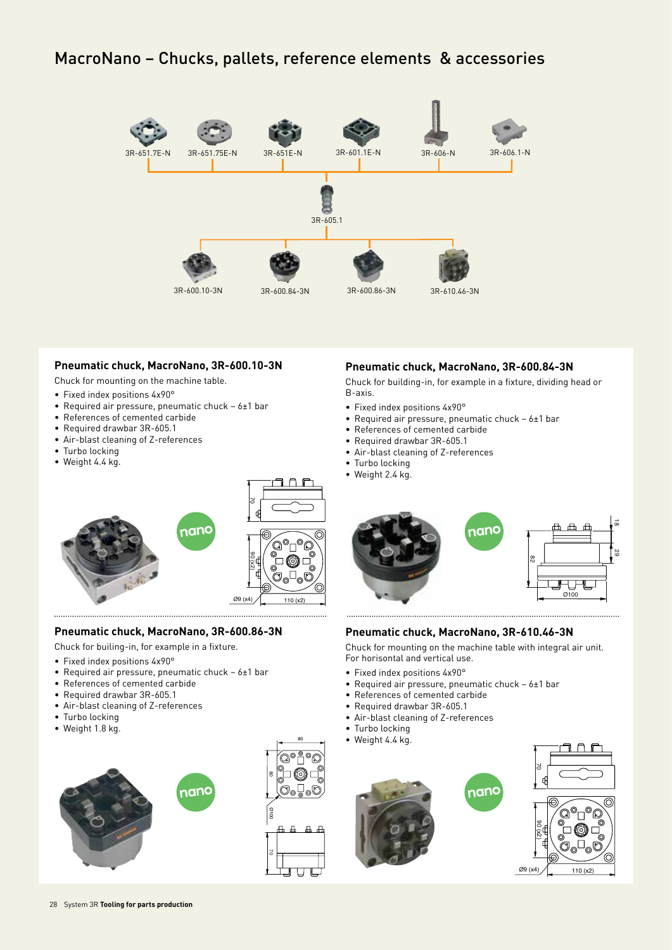### MacroNano – Chucks, pallets, reference elements & accessories



#### **Pneumatic chuck, MacroNano, 3R-600.10-3N**

Chuck for mounting on the machine table.

- Fixed index positions 4x90°
- Required air pressure, pneumatic chuck 6±1 bar
- References of cemented carbide
- Required drawbar 3R-605.1
- Air-blast cleaning of Z-references
- Turbo locking
- Weight 4.4 kg.

#### **Pneumatic chuck, MacroNano, 3R-600.84-3N**

Chuck for building-in, for example in a fixture, dividing head or B-axis.

- Fixed index positions 4x90°
- Required air pressure, pneumatic chuck 6±1 bar
- References of cemented carbide
- Required drawbar 3R-605.1
- Air-blast cleaning of Z-references
- Turbo locking
- Weight 2.4 kg.



#### **Pneumatic chuck, MacroNano, 3R-600.86-3N**

- Chuck for builing-in, for example in a fixture.
- Fixed index positions 4x90°
- Required air pressure, pneumatic chuck 6±1 bar
- References of cemented carbide
- Required drawbar 3R-605.1
- Air-blast cleaning of Z-references
- Turbo locking
- Weight 1.8 kg.







nanc

 $\vec{\alpha}$ 

#### **Pneumatic chuck, MacroNano, 3R-610.46-3N**

Chuck for mounting on the machine table with integral air unit. For horisontal and vertical use.

- Fixed index positions 4x90°
- Required air pressure, pneumatic chuck 6±1 bar
- References of cemented carbide
- Required drawbar 3R-605.1
- Air-blast cleaning of Z-references
- Turbo locking
- Weight 4.4 kg.

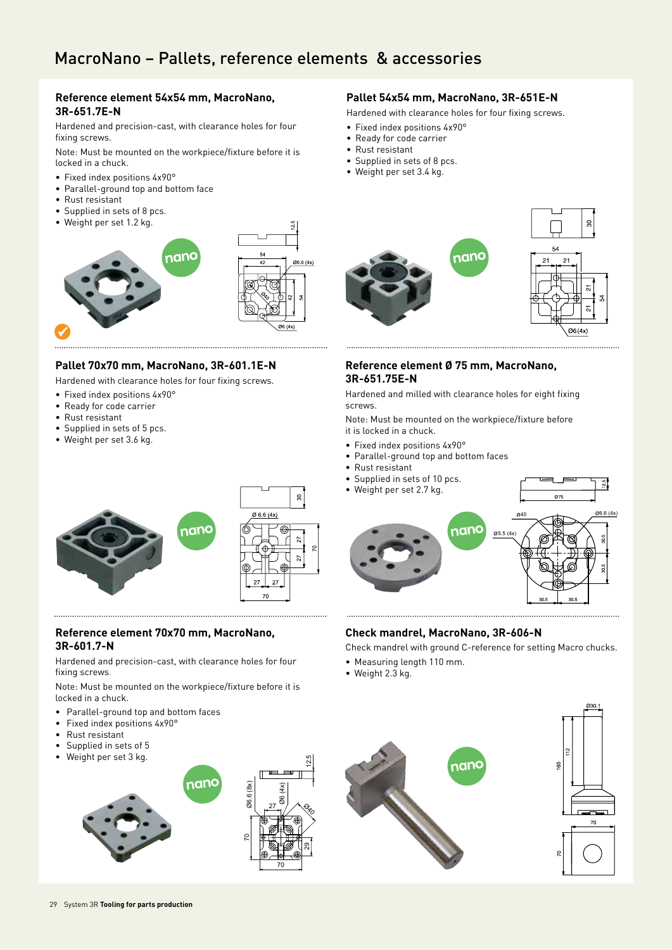## MacroNano – Pallets, reference elements & accessories

#### **Reference element 54x54 mm, MacroNano, 3R-651.7E-N**

Hardened and precision-cast, with clearance holes for four fixing screws.

Note: Must be mounted on the workpiece/fixture before it is locked in a chuck.

- Fixed index positions 4x90°
- Parallel-ground top and bottom face
- Rust resistant
- Supplied in sets of 8 pcs.
- Weight per set 1.2 kg.



#### **Pallet 70x70 mm, MacroNano, 3R-601.1E-N**

Hardened with clearance holes for four fixing screws.

- Fixed index positions 4x90°
- Ready for code carrier
- Rust resistant
- Supplied in sets of 5 pcs.
- Weight per set 3.6 kg.



#### **Reference element 70x70 mm, MacroNano, 3R-601.7-N**

Hardened and precision-cast, with clearance holes for four fixing screws.

Note: Must be mounted on the workpiece/fixture before it is locked in a chuck.

- Parallel-ground top and bottom faces
- Fixed index positions 4x90°
- Rust resistant
- Supplied in sets of 5
- Weight per set 3 kg.



#### **Pallet 54x54 mm, MacroNano, 3R-651E-N**

Hardened with clearance holes for four fixing screws.

- Fixed index positions 4x90°
- Ready for code carrier
- Rust resistant
- Supplied in sets of 8 pcs.
- Weight per set 3.4 kg.



#### **Reference element Ø 75 mm, MacroNano, 3R-651.75E-N**

Hardened and milled with clearance holes for eight fixing screws.

Note: Must be mounted on the workpiece/fixture before it is locked in a chuck.

- Fixed index positions 4x90°
- Parallel-ground top and bottom faces
- Rust resistant
- Supplied in sets of 10 pcs.
- Weight per set 2.7 kg.



#### **Check mandrel, MacroNano, 3R-606-N**

Check mandrel with ground C-reference for setting Macro chucks.

- Measuring length 110 mm.
- Weight 2.3 kg.

ని

12.5